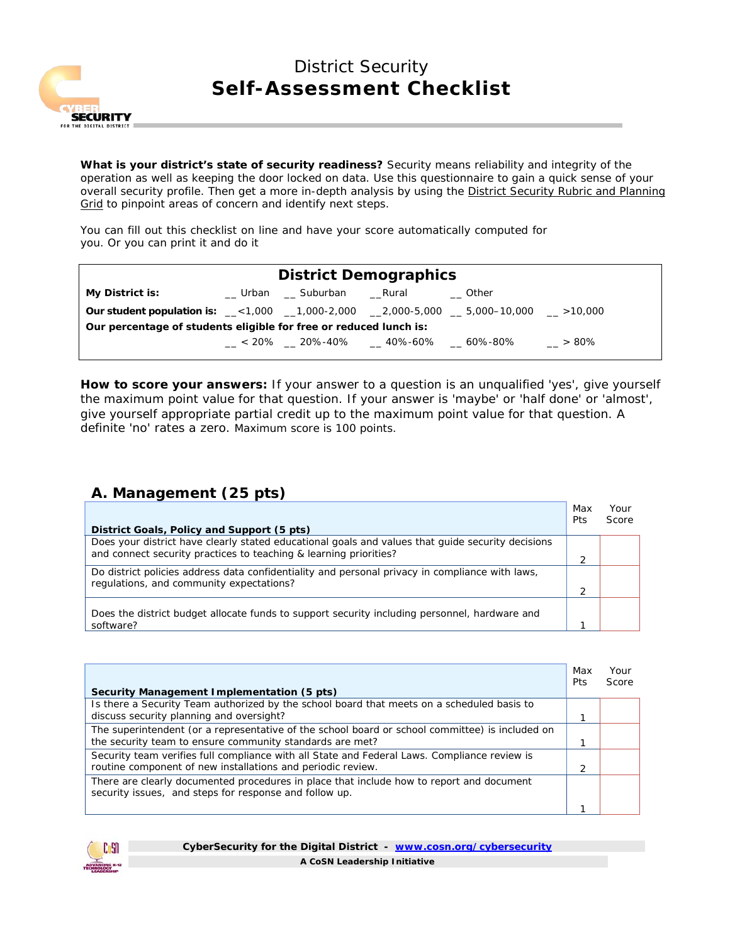

# District Security **Self-Assessment Checklist**

*What is your district's state of security readiness? Security means reliability and integrity of the operation as well as keeping the door locked on data. Use this questionnaire to gain a quick sense of your overall security profile. Then get a more in-depth analysis by using the District Security Rubric and Planning Grid to pinpoint areas of concern and identify next steps.*

*You can fill out this checklist on line and have your score automatically computed for you. Or you can print it and do it* 

| <b>District Demographics</b>                                                                     |  |                      |  |                                            |         |
|--------------------------------------------------------------------------------------------------|--|----------------------|--|--------------------------------------------|---------|
| <b>My District is:</b>                                                                           |  | Urban Suburban Rural |  | Other                                      |         |
| <b>Our student population is:</b> __<1,000 __1,000-2,000 __2,000-5,000 __5,000-10,000 __ >10,000 |  |                      |  |                                            |         |
| Our percentage of students eligible for free or reduced lunch is:                                |  |                      |  |                                            |         |
|                                                                                                  |  |                      |  | $< 20\%$ 20%-40% $\_$ 40%-60% $\_$ 60%-80% | $>80\%$ |
|                                                                                                  |  |                      |  |                                            |         |

**How to score your answers:** If your answer to a question is an unqualified 'yes', give yourself the maximum point value for that question. If your answer is 'maybe' or 'half done' or 'almost', give yourself appropriate partial credit up to the maximum point value for that question. A definite 'no' rates a zero. Maximum score is 100 points.

#### **A. Management (25 pts)**

|                                                                                                                                             | Max<br>Pts | Your<br>Score |
|---------------------------------------------------------------------------------------------------------------------------------------------|------------|---------------|
| District Goals, Policy and Support (5 pts)                                                                                                  |            |               |
| Does your district have clearly stated educational goals and values that quide security decisions                                           |            |               |
| and connect security practices to teaching & learning priorities?                                                                           |            |               |
| Do district policies address data confidentiality and personal privacy in compliance with laws,<br>regulations, and community expectations? |            |               |
|                                                                                                                                             |            |               |
|                                                                                                                                             |            |               |
| Does the district budget allocate funds to support security including personnel, hardware and                                               |            |               |
| software?                                                                                                                                   |            |               |

| Security Management Implementation (5 pts)                                                                                                                  | Max<br>Pts | Your<br>Score |
|-------------------------------------------------------------------------------------------------------------------------------------------------------------|------------|---------------|
| Is there a Security Team authorized by the school board that meets on a scheduled basis to<br>discuss security planning and oversight?                      |            |               |
| The superintendent (or a representative of the school board or school committee) is included on<br>the security team to ensure community standards are met? |            |               |
| Security team verifies full compliance with all State and Federal Laws. Compliance review is<br>routine component of new installations and periodic review. |            |               |
| There are clearly documented procedures in place that include how to report and document<br>security issues, and steps for response and follow up.          |            |               |
|                                                                                                                                                             |            |               |

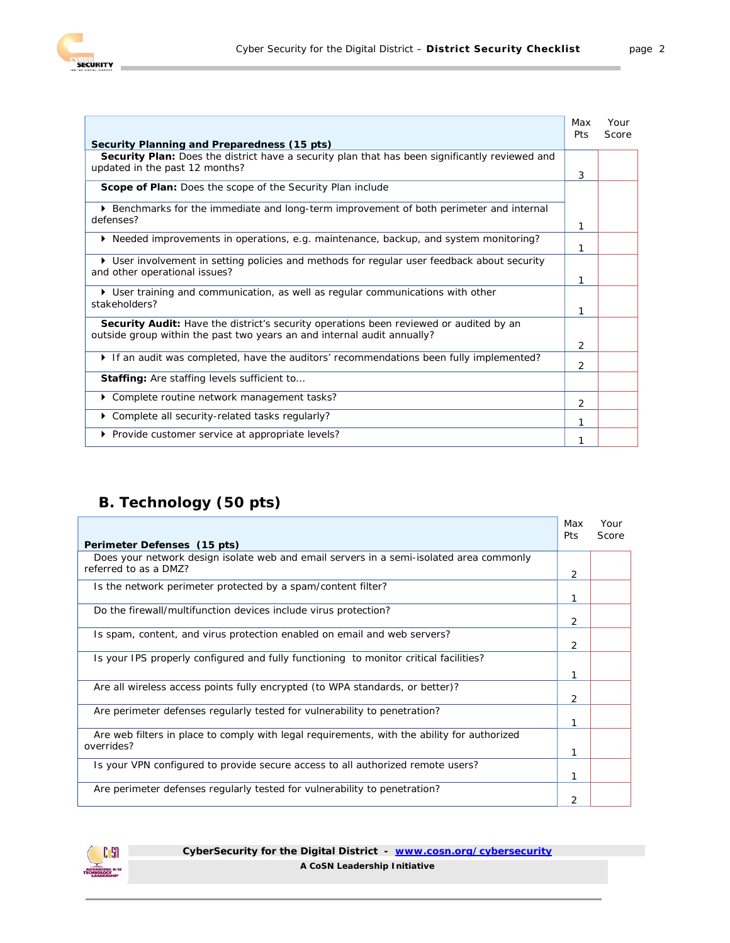

|                                                                                                                                                                   | Max<br>Pts | Your<br>Score |
|-------------------------------------------------------------------------------------------------------------------------------------------------------------------|------------|---------------|
| Security Planning and Preparedness (15 pts)                                                                                                                       |            |               |
| Security Plan: Does the district have a security plan that has been significantly reviewed and<br>updated in the past 12 months?                                  | 3          |               |
| <b>Scope of Plan:</b> Does the scope of the Security Plan include                                                                                                 |            |               |
| ▶ Benchmarks for the immediate and long-term improvement of both perimeter and internal<br>defenses?                                                              |            |               |
|                                                                                                                                                                   | 1          |               |
| $\triangleright$ Needed improvements in operations, e.g. maintenance, backup, and system monitoring?                                                              | 1          |               |
| ▶ User involvement in setting policies and methods for regular user feedback about security<br>and other operational issues?                                      | 1          |               |
| ▶ User training and communication, as well as regular communications with other<br>stakeholders?                                                                  | 1          |               |
| Security Audit: Have the district's security operations been reviewed or audited by an<br>outside group within the past two years an and internal audit annually? | 2          |               |
| If an audit was completed, have the auditors' recommendations been fully implemented?                                                                             | 2          |               |
| <b>Staffing:</b> Are staffing levels sufficient to                                                                                                                |            |               |
| Complete routine network management tasks?                                                                                                                        | 2          |               |
| Complete all security-related tasks regularly?                                                                                                                    |            |               |
| ▶ Provide customer service at appropriate levels?                                                                                                                 | 1          |               |

### **B. Technology (50 pts)**

|                                                                                                           | Max<br>Pts | Your<br>Score |
|-----------------------------------------------------------------------------------------------------------|------------|---------------|
| Perimeter Defenses (15 pts)                                                                               |            |               |
| Does your network design isolate web and email servers in a semi-isolated area commonly                   |            |               |
| referred to as a DMZ?                                                                                     | 2          |               |
| Is the network perimeter protected by a spam/content filter?                                              |            |               |
| Do the firewall/multifunction devices include virus protection?                                           | 1          |               |
|                                                                                                           | 2          |               |
| Is spam, content, and virus protection enabled on email and web servers?                                  |            |               |
|                                                                                                           | 2          |               |
| Is your IPS properly configured and fully functioning to monitor critical facilities?                     |            |               |
|                                                                                                           | 1          |               |
| Are all wireless access points fully encrypted (to WPA standards, or better)?                             | 2          |               |
| Are perimeter defenses regularly tested for vulnerability to penetration?                                 |            |               |
|                                                                                                           | 1          |               |
| Are web filters in place to comply with legal requirements, with the ability for authorized<br>overrides? |            |               |
|                                                                                                           | 1          |               |
| Is your VPN configured to provide secure access to all authorized remote users?                           |            |               |
| Are perimeter defenses regularly tested for vulnerability to penetration?                                 |            |               |
|                                                                                                           | 2          |               |



**CyberSecurity for the Digital District - [www.cosn.org/cybersecurity](http://www.cosn.org/cybersecurity) A CoSN Leadership Initiative**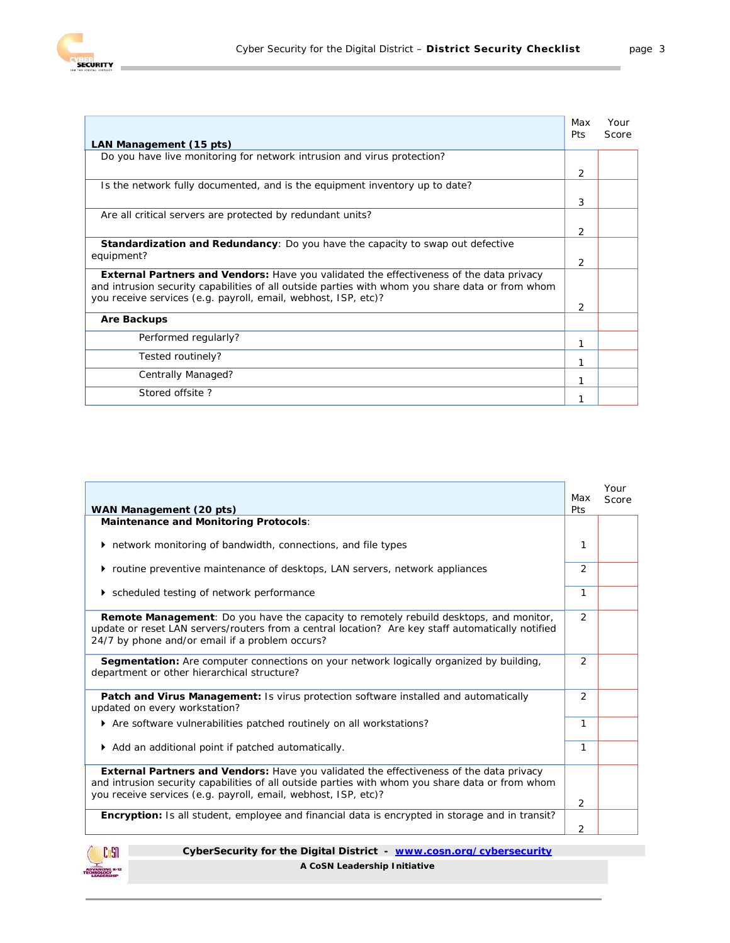

|                                                                                                                                                                                                                                                                      | Max<br>Pts | Your<br>Score |
|----------------------------------------------------------------------------------------------------------------------------------------------------------------------------------------------------------------------------------------------------------------------|------------|---------------|
| LAN Management (15 pts)                                                                                                                                                                                                                                              |            |               |
| Do you have live monitoring for network intrusion and virus protection?                                                                                                                                                                                              |            |               |
|                                                                                                                                                                                                                                                                      | 2          |               |
| Is the network fully documented, and is the equipment inventory up to date?                                                                                                                                                                                          |            |               |
|                                                                                                                                                                                                                                                                      | 3          |               |
| Are all critical servers are protected by redundant units?                                                                                                                                                                                                           |            |               |
|                                                                                                                                                                                                                                                                      | 2          |               |
| <b>Standardization and Redundancy:</b> Do you have the capacity to swap out defective                                                                                                                                                                                |            |               |
| equipment?                                                                                                                                                                                                                                                           | 2          |               |
| <b>External Partners and Vendors:</b> Have you validated the effectiveness of the data privacy<br>and intrusion security capabilities of all outside parties with whom you share data or from whom<br>you receive services (e.g. payroll, email, webhost, ISP, etc)? | 2          |               |
| <b>Are Backups</b>                                                                                                                                                                                                                                                   |            |               |
| Performed regularly?                                                                                                                                                                                                                                                 |            |               |
| Tested routinely?                                                                                                                                                                                                                                                    |            |               |
| Centrally Managed?                                                                                                                                                                                                                                                   | 1          |               |
| Stored offsite?                                                                                                                                                                                                                                                      |            |               |

| WAN Management (20 pts)                                                                                                                                                                                                                                              | Max<br>Pts     | Your<br>Score |
|----------------------------------------------------------------------------------------------------------------------------------------------------------------------------------------------------------------------------------------------------------------------|----------------|---------------|
| <b>Maintenance and Monitoring Protocols:</b>                                                                                                                                                                                                                         |                |               |
| network monitoring of bandwidth, connections, and file types                                                                                                                                                                                                         | 1              |               |
| routine preventive maintenance of desktops, LAN servers, network appliances                                                                                                                                                                                          | $\overline{2}$ |               |
| ▶ scheduled testing of network performance                                                                                                                                                                                                                           | 1              |               |
| Remote Management: Do you have the capacity to remotely rebuild desktops, and monitor,<br>update or reset LAN servers/routers from a central location? Are key staff automatically notified<br>24/7 by phone and/or email if a problem occurs?                       | 2              |               |
| <b>Segmentation:</b> Are computer connections on your network logically organized by building,<br>department or other hierarchical structure?                                                                                                                        | $\mathcal{P}$  |               |
| Patch and Virus Management: Is virus protection software installed and automatically<br>updated on every workstation?                                                                                                                                                | 2              |               |
| ▶ Are software vulnerabilities patched routinely on all workstations?                                                                                                                                                                                                | 1              |               |
| Add an additional point if patched automatically.                                                                                                                                                                                                                    | 1              |               |
| <b>External Partners and Vendors:</b> Have you validated the effectiveness of the data privacy<br>and intrusion security capabilities of all outside parties with whom you share data or from whom<br>you receive services (e.g. payroll, email, webhost, ISP, etc)? | 2              |               |
| <b>Encryption:</b> Is all student, employee and financial data is encrypted in storage and in transit?                                                                                                                                                               | 2              |               |



**CyberSecurity for the Digital District - [www.cosn.org/cybersecurity](http://www.cosn.org/cybersecurity)**

**A CoSN Leadership Initiative**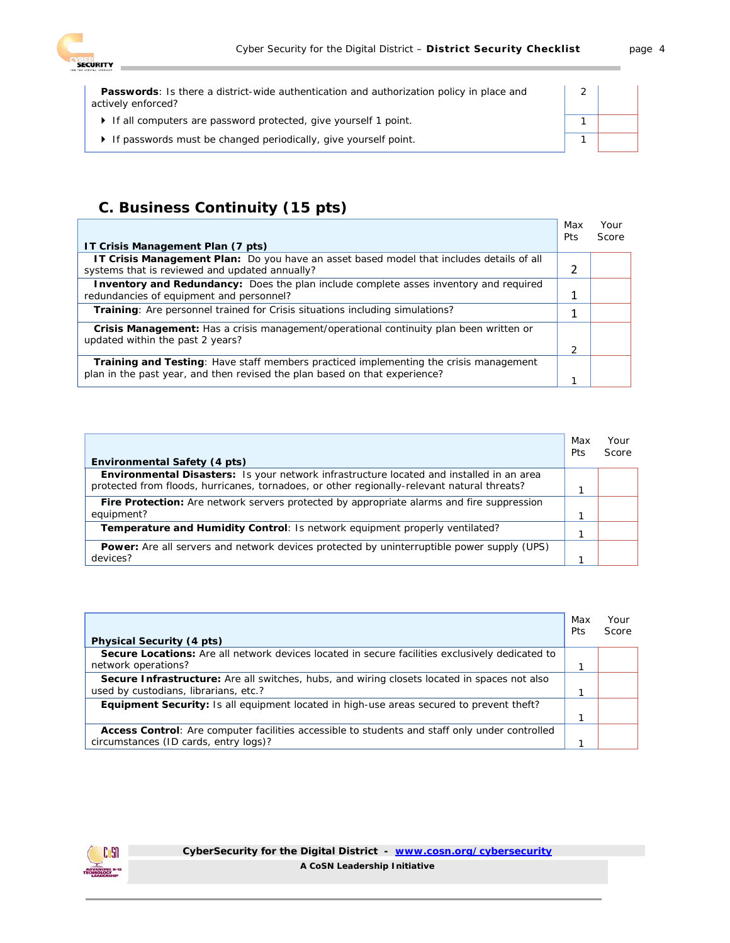

| <b>Passwords:</b> Is there a district-wide authentication and authorization policy in place and<br>actively enforced? |  |
|-----------------------------------------------------------------------------------------------------------------------|--|
| • If all computers are password protected, give yourself 1 point.                                                     |  |
| If passwords must be changed periodically, give yourself point.                                                       |  |

### **C. Business Continuity (15 pts)**

| IT Crisis Management Plan (7 pts)                                                                                                                                          | Max<br>Pts | Your<br>Score |
|----------------------------------------------------------------------------------------------------------------------------------------------------------------------------|------------|---------------|
| <b>IT Crisis Management Plan:</b> Do you have an asset based model that includes details of all<br>systems that is reviewed and updated annually?                          |            |               |
| <b>Inventory and Redundancy:</b> Does the plan include complete asses inventory and required<br>redundancies of equipment and personnel?                                   |            |               |
| Training: Are personnel trained for Crisis situations including simulations?                                                                                               |            |               |
| <b>Crisis Management:</b> Has a crisis management/operational continuity plan been written or<br>updated within the past 2 years?                                          |            |               |
| <b>Training and Testing:</b> Have staff members practiced implementing the crisis management<br>plan in the past year, and then revised the plan based on that experience? |            |               |

| Environmental Safety (4 pts)                                                                                                                                                                   | Max<br>Pts | Your<br>Score |
|------------------------------------------------------------------------------------------------------------------------------------------------------------------------------------------------|------------|---------------|
| <b>Environmental Disasters:</b> Is your network infrastructure located and installed in an area<br>protected from floods, hurricanes, tornadoes, or other regionally-relevant natural threats? |            |               |
| <b>Fire Protection:</b> Are network servers protected by appropriate alarms and fire suppression                                                                                               |            |               |
| equipment?                                                                                                                                                                                     |            |               |
| Temperature and Humidity Control: Is network equipment properly ventilated?                                                                                                                    |            |               |
| <b>Power:</b> Are all servers and network devices protected by uninterruptible power supply (UPS)                                                                                              |            |               |
| devices?                                                                                                                                                                                       |            |               |

|                                                                                                     | Max<br>Pts | Your<br>Score |
|-----------------------------------------------------------------------------------------------------|------------|---------------|
| <b>Physical Security (4 pts)</b>                                                                    |            |               |
| Secure Locations: Are all network devices located in secure facilities exclusively dedicated to     |            |               |
| network operations?                                                                                 |            |               |
| <b>Secure Infrastructure:</b> Are all switches, hubs, and wiring closets located in spaces not also |            |               |
| used by custodians, librarians, etc.?                                                               |            |               |
| <b>Equipment Security:</b> Is all equipment located in high-use areas secured to prevent theft?     |            |               |
|                                                                                                     |            |               |
| Access Control: Are computer facilities accessible to students and staff only under controlled      |            |               |
| circumstances (ID cards, entry logs)?                                                               |            |               |